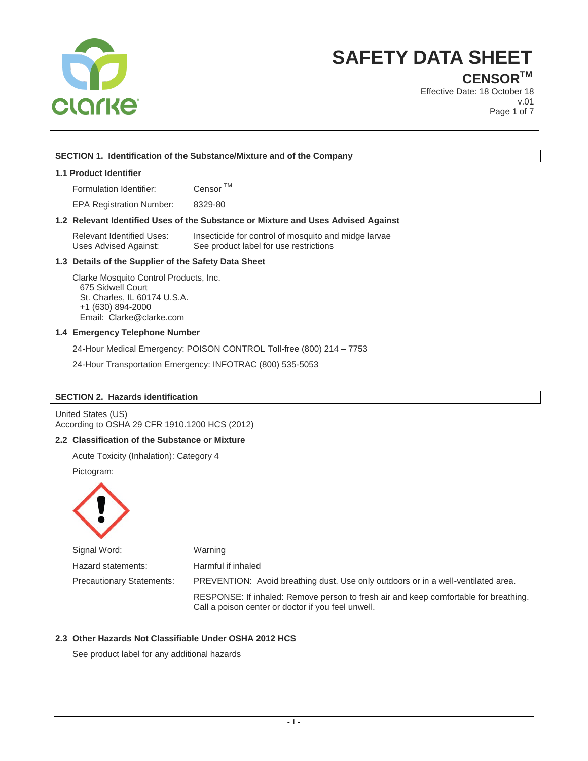

**CENSORTM**

Effective Date: 18 October 18 v.01 Page 1 of 7

## **SECTION 1. Identification of the Substance/Mixture and of the Company**

#### **1.1 Product Identifier**

Formulation Identifier: Censor TM

EPA Registration Number: 8329-80

## **1.2 Relevant Identified Uses of the Substance or Mixture and Uses Advised Against**

Relevant Identified Uses: Insecticide for control of mosquito and midge larvae Uses Advised Against: See product label for use restrictions

## **1.3 Details of the Supplier of the Safety Data Sheet**

Clarke Mosquito Control Products, Inc. 675 Sidwell Court St. Charles, IL 60174 U.S.A. +1 (630) 894-2000 Email: Clarke@clarke.com

## **1.4 Emergency Telephone Number**

24-Hour Medical Emergency: POISON CONTROL Toll-free (800) 214 – 7753

24-Hour Transportation Emergency: INFOTRAC (800) 535-5053

## **SECTION 2. Hazards identification**

United States (US) According to OSHA 29 CFR 1910.1200 HCS (2012)

## **2.2 Classification of the Substance or Mixture**

Acute Toxicity (Inhalation): Category 4

Pictogram:



| Signal Word:              | Warning                                                                                                                                    |
|---------------------------|--------------------------------------------------------------------------------------------------------------------------------------------|
| Hazard statements:        | Harmful if inhaled                                                                                                                         |
| Precautionary Statements: | PREVENTION: Avoid breathing dust. Use only outdoors or in a well-ventilated area.                                                          |
|                           | RESPONSE: If inhaled: Remove person to fresh air and keep comfortable for breathing.<br>Call a poison center or doctor if you feel unwell. |

## **2.3 Other Hazards Not Classifiable Under OSHA 2012 HCS**

See product label for any additional hazards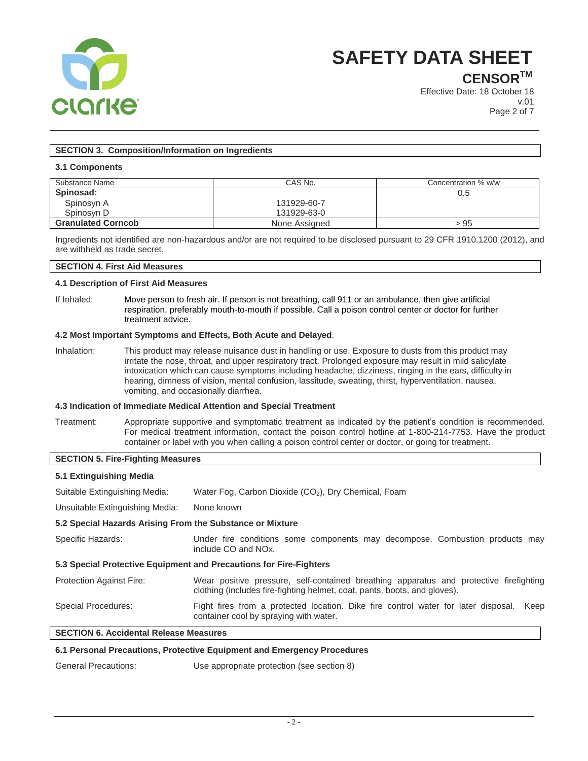

**CENSORTM**

Effective Date: 18 October 18 v.01 Page 2 of 7

## **SECTION 3. Composition/Information on Ingredients**

## **3.1 Components**

| Substance Name            | CAS No.       | Concentration % w/w |
|---------------------------|---------------|---------------------|
| Spinosad:                 |               | 0.5                 |
| Spinosyn A                | 131929-60-7   |                     |
| Spinosyn D                | 131929-63-0   |                     |
| <b>Granulated Corncob</b> | None Assigned | >95                 |

Ingredients not identified are non-hazardous and/or are not required to be disclosed pursuant to 29 CFR 1910.1200 (2012), and are withheld as trade secret.

#### **SECTION 4. First Aid Measures**

### **4.1 Description of First Aid Measures**

If Inhaled: Move person to fresh air. If person is not breathing, call 911 or an ambulance, then give artificial respiration, preferably mouth-to-mouth if possible. Call a poison control center or doctor for further treatment advice.

#### **4.2 Most Important Symptoms and Effects, Both Acute and Delayed**.

Inhalation: This product may release nuisance dust in handling or use. Exposure to dusts from this product may irritate the nose, throat, and upper respiratory tract. Prolonged exposure may result in mild salicylate intoxication which can cause symptoms including headache, dizziness, ringing in the ears, difficulty in hearing, dimness of vision, mental confusion, lassitude, sweating, thirst, hyperventilation, nausea, vomiting, and occasionally diarrhea.

### **4.3 Indication of Immediate Medical Attention and Special Treatment**

Treatment: Appropriate supportive and symptomatic treatment as indicated by the patient's condition is recommended. For medical treatment information, contact the poison control hotline at 1-800-214-7753. Have the product container or label with you when calling a poison control center or doctor, or going for treatment.

## **SECTION 5. Fire-Fighting Measures**

| 5.1 Extinguishing Media                                            |                                                                                                                                                                     |  |
|--------------------------------------------------------------------|---------------------------------------------------------------------------------------------------------------------------------------------------------------------|--|
| Suitable Extinguishing Media:                                      | Water Fog, Carbon Dioxide (CO <sub>2</sub> ), Dry Chemical, Foam                                                                                                    |  |
| Unsuitable Extinguishing Media:                                    | None known                                                                                                                                                          |  |
| 5.2 Special Hazards Arising From the Substance or Mixture          |                                                                                                                                                                     |  |
| Specific Hazards:                                                  | Under fire conditions some components may decompose. Combustion products may<br>include CO and NO <sub>x</sub> .                                                    |  |
| 5.3 Special Protective Equipment and Precautions for Fire-Fighters |                                                                                                                                                                     |  |
| <b>Protection Against Fire:</b>                                    | Wear positive pressure, self-contained breathing apparatus and protective firefighting<br>clothing (includes fire-fighting helmet, coat, pants, boots, and gloves). |  |
| <b>Special Procedures:</b>                                         | Fight fires from a protected location. Dike fire control water for later disposal.<br>Keep<br>container cool by spraying with water.                                |  |
| <b>SECTION 6. Accidental Release Measures</b>                      |                                                                                                                                                                     |  |

## **6.1 Personal Precautions, Protective Equipment and Emergency Procedures**

General Precautions: Use appropriate protection (see section 8)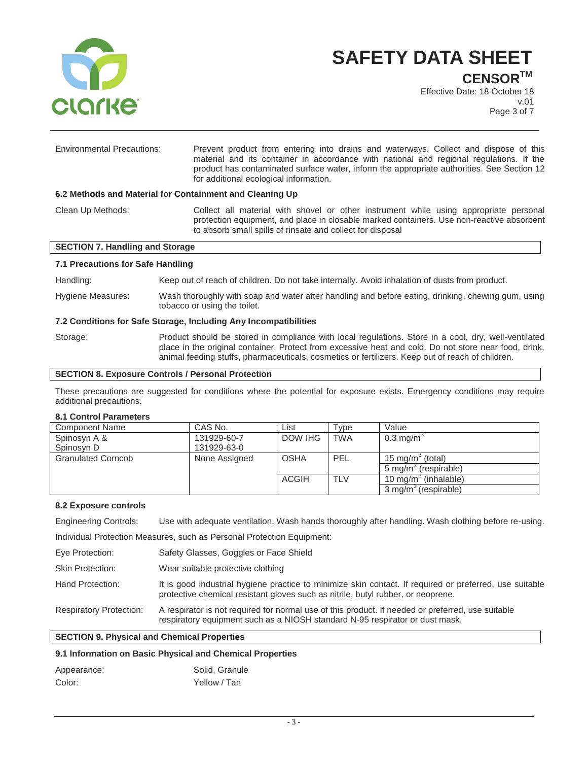

**CENSORTM**

Effective Date: 18 October 18 v.01 Page 3 of 7

| <b>Environmental Precautions:</b>                        | Prevent product from entering into drains and waterways. Collect and dispose of this<br>material and its container in accordance with national and regional regulations. If the<br>product has contaminated surface water, inform the appropriate authorities. See Section 12<br>for additional ecological information. |  |  |
|----------------------------------------------------------|-------------------------------------------------------------------------------------------------------------------------------------------------------------------------------------------------------------------------------------------------------------------------------------------------------------------------|--|--|
| 6.2 Methods and Material for Containment and Cleaning Up |                                                                                                                                                                                                                                                                                                                         |  |  |
| Clean Up Methods:                                        | Collect all material with shovel or other instrument while using appropriate personal<br>protection equipment, and place in closable marked containers. Use non-reactive absorbent<br>to absorb small spills of rinsate and collect for disposal                                                                        |  |  |

#### **SECTION 7. Handling and Storage**

## **7.1 Precautions for Safe Handling**

Handling: Keep out of reach of children. Do not take internally. Avoid inhalation of dusts from product.

Hygiene Measures: Wash thoroughly with soap and water after handling and before eating, drinking, chewing gum, using tobacco or using the toilet.

#### **7.2 Conditions for Safe Storage, Including Any Incompatibilities**

Storage: Product should be stored in compliance with local regulations. Store in a cool, dry, well-ventilated place in the original container. Protect from excessive heat and cold. Do not store near food, drink, animal feeding stuffs, pharmaceuticals, cosmetics or fertilizers. Keep out of reach of children.

#### **SECTION 8. Exposure Controls / Personal Protection**

These precautions are suggested for conditions where the potential for exposure exists. Emergency conditions may require additional precautions.

### **8.1 Control Parameters**

| <b>Component Name</b>     | CAS No.       | List         | Type       | Value                               |
|---------------------------|---------------|--------------|------------|-------------------------------------|
| Spinosyn A &              | 131929-60-7   | DOW IHG      | <b>TWA</b> | 0.3 mg/m <sup>3</sup>               |
| Spinosyn D                | 131929-63-0   |              |            |                                     |
| <b>Granulated Corncob</b> | None Assigned | <b>OSHA</b>  | PEL        | 15 mg/m $\degree$ (total)           |
|                           |               |              |            | (respirable)<br>5 ma/m <sup>3</sup> |
|                           |               | <b>ACGIH</b> | <b>TLV</b> | 10 mg/m <sup>3</sup> (inhalable)    |
|                           |               |              |            | 3 mg/m <sup>3</sup> (respirable)    |

#### **8.2 Exposure controls**

Engineering Controls: Use with adequate ventilation. Wash hands thoroughly after handling. Wash clothing before re-using.

Individual Protection Measures, such as Personal Protection Equipment:

Eye Protection: Safety Glasses, Goggles or Face Shield

- Skin Protection: Wear suitable protective clothing
- Hand Protection: It is good industrial hygiene practice to minimize skin contact. If required or preferred, use suitable protective chemical resistant gloves such as nitrile, butyl rubber, or neoprene.

Respiratory Protection: A respirator is not required for normal use of this product. If needed or preferred, use suitable respiratory equipment such as a NIOSH standard N-95 respirator or dust mask.

## **SECTION 9. Physical and Chemical Properties**

## **9.1 Information on Basic Physical and Chemical Properties**

| Appearance: | Solid, Granule |
|-------------|----------------|
| Color:      | Yellow / Tan   |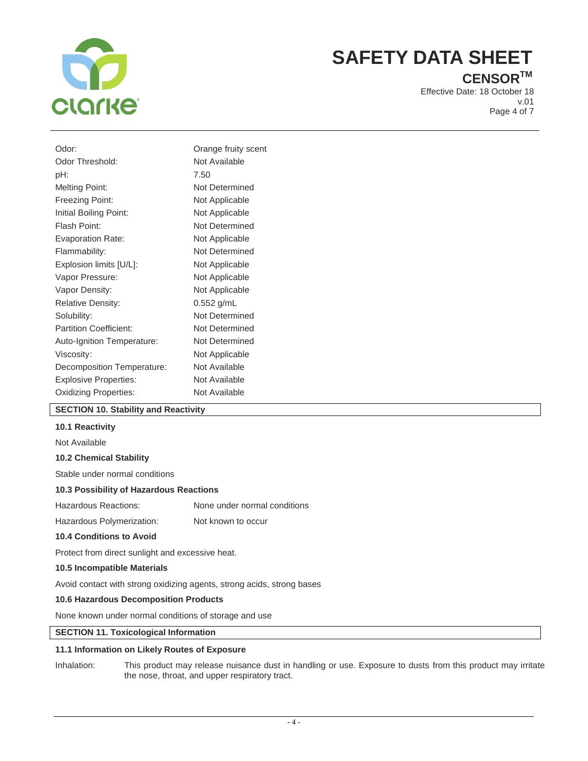

## **CENSORTM**

Effective Date: 18 October 18 v.01 Page 4 of 7

| Odor:                         | Orange fruity scent |
|-------------------------------|---------------------|
| Odor Threshold:               | Not Available       |
| pH:                           | 7.50                |
| <b>Melting Point:</b>         | Not Determined      |
| Freezing Point:               | Not Applicable      |
| Initial Boiling Point:        | Not Applicable      |
| Flash Point:                  | Not Determined      |
| <b>Evaporation Rate:</b>      | Not Applicable      |
| Flammability:                 | Not Determined      |
| Explosion limits [U/L]:       | Not Applicable      |
| Vapor Pressure:               | Not Applicable      |
| Vapor Density:                | Not Applicable      |
| <b>Relative Density:</b>      | 0.552 g/mL          |
| Solubility:                   | Not Determined      |
| <b>Partition Coefficient:</b> | Not Determined      |
| Auto-Ignition Temperature:    | Not Determined      |
| Viscosity:                    | Not Applicable      |
| Decomposition Temperature:    | Not Available       |
| <b>Explosive Properties:</b>  | Not Available       |
| <b>Oxidizing Properties:</b>  | Not Available       |
|                               |                     |

## **SECTION 10. Stability and Reactivity**

### **10.1 Reactivity**

Not Available

#### **10.2 Chemical Stability**

Stable under normal conditions

#### **10.3 Possibility of Hazardous Reactions**

Hazardous Reactions: None under normal conditions

Hazardous Polymerization: Not known to occur

## **10.4 Conditions to Avoid**

Protect from direct sunlight and excessive heat.

### **10.5 Incompatible Materials**

Avoid contact with strong oxidizing agents, strong acids, strong bases

## **10.6 Hazardous Decomposition Products**

None known under normal conditions of storage and use

## **SECTION 11. Toxicological Information**

## **11.1 Information on Likely Routes of Exposure**

Inhalation: This product may release nuisance dust in handling or use. Exposure to dusts from this product may irritate the nose, throat, and upper respiratory tract.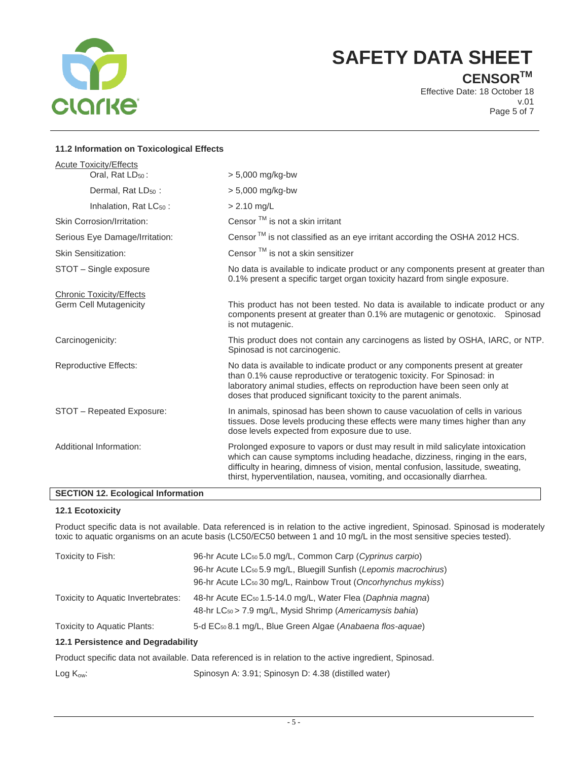

**CENSORTM**

Effective Date: 18 October 18 v.01 Page 5 of 7

## **11.2 Information on Toxicological Effects**

| <b>Acute Toxicity/Effects</b><br>Oral, Rat $LD_{50}$ :           | $> 5,000$ mg/kg-bw                                                                                                                                                                                                                                                                                                            |
|------------------------------------------------------------------|-------------------------------------------------------------------------------------------------------------------------------------------------------------------------------------------------------------------------------------------------------------------------------------------------------------------------------|
| Dermal, Rat $LD_{50}$ :                                          | $> 5,000$ mg/kg-bw                                                                                                                                                                                                                                                                                                            |
| Inhalation, Rat $LC_{50}$ :                                      | $> 2.10$ mg/L                                                                                                                                                                                                                                                                                                                 |
| Skin Corrosion/Irritation:                                       | Censor $TM$ is not a skin irritant                                                                                                                                                                                                                                                                                            |
| Serious Eye Damage/Irritation:                                   | Censor $TM$ is not classified as an eye irritant according the OSHA 2012 HCS.                                                                                                                                                                                                                                                 |
| <b>Skin Sensitization:</b>                                       | Censor <sup>™</sup> is not a skin sensitizer                                                                                                                                                                                                                                                                                  |
| STOT - Single exposure                                           | No data is available to indicate product or any components present at greater than<br>0.1% present a specific target organ toxicity hazard from single exposure.                                                                                                                                                              |
| <b>Chronic Toxicity/Effects</b><br><b>Germ Cell Mutagenicity</b> | This product has not been tested. No data is available to indicate product or any<br>components present at greater than 0.1% are mutagenic or genotoxic. Spinosad<br>is not mutagenic.                                                                                                                                        |
| Carcinogenicity:                                                 | This product does not contain any carcinogens as listed by OSHA, IARC, or NTP.<br>Spinosad is not carcinogenic.                                                                                                                                                                                                               |
| <b>Reproductive Effects:</b>                                     | No data is available to indicate product or any components present at greater<br>than 0.1% cause reproductive or teratogenic toxicity. For Spinosad: in<br>laboratory animal studies, effects on reproduction have been seen only at<br>doses that produced significant toxicity to the parent animals.                       |
| STOT - Repeated Exposure:                                        | In animals, spinosad has been shown to cause vacuolation of cells in various<br>tissues. Dose levels producing these effects were many times higher than any<br>dose levels expected from exposure due to use.                                                                                                                |
| Additional Information:                                          | Prolonged exposure to vapors or dust may result in mild salicylate intoxication<br>which can cause symptoms including headache, dizziness, ringing in the ears,<br>difficulty in hearing, dimness of vision, mental confusion, lassitude, sweating,<br>thirst, hyperventilation, nausea, vomiting, and occasionally diarrhea. |
|                                                                  |                                                                                                                                                                                                                                                                                                                               |

## **SECTION 12. Ecological Information**

## **12.1 Ecotoxicity**

Product specific data is not available. Data referenced is in relation to the active ingredient, Spinosad. Spinosad is moderately toxic to aquatic organisms on an acute basis (LC50/EC50 between 1 and 10 mg/L in the most sensitive species tested).

| Toxicity to Fish:                  | 96-hr Acute LC <sub>50</sub> 5.0 mg/L, Common Carp (Cyprinus carpio)          |
|------------------------------------|-------------------------------------------------------------------------------|
|                                    | 96-hr Acute LC <sub>50</sub> 5.9 mg/L, Bluegill Sunfish (Lepomis macrochirus) |
|                                    | 96-hr Acute LC <sub>50</sub> 30 mg/L, Rainbow Trout (Oncorhynchus mykiss)     |
| Toxicity to Aquatic Invertebrates: | 48-hr Acute EC <sub>50</sub> 1.5-14.0 mg/L, Water Flea (Daphnia magna)        |
|                                    | 48-hr LC <sub>50</sub> > 7.9 mg/L, Mysid Shrimp ( <i>Americamysis bahia</i> ) |
| Toxicity to Aquatic Plants:        | 5-d EC <sub>50</sub> 8.1 mg/L, Blue Green Algae (Anabaena flos-aquae)         |

## **12.1 Persistence and Degradability**

Product specific data not available. Data referenced is in relation to the active ingredient, Spinosad.

Log K<sub>ow</sub>: Spinosyn A: 3.91; Spinosyn D: 4.38 (distilled water)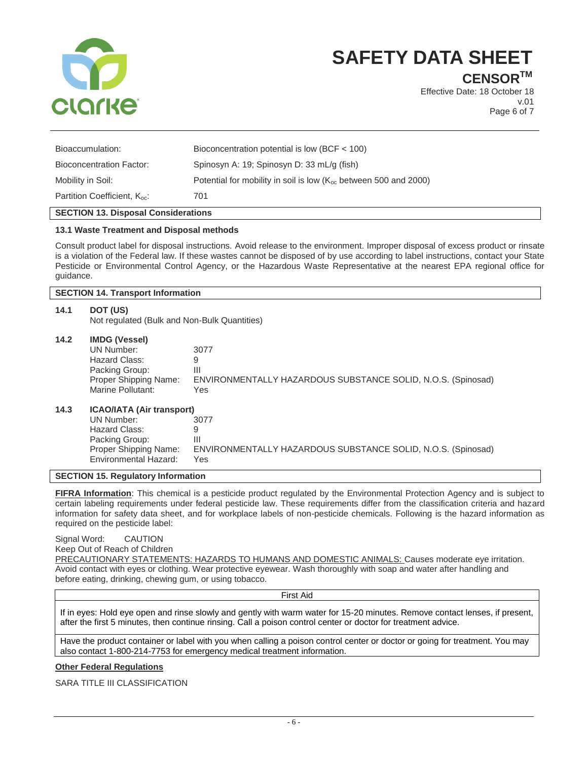

**CENSORTM**

Effective Date: 18 October 18 v.01 Page 6 of 7

| Partition Coefficient, K <sub>oc</sub> : | 701                                                                   |
|------------------------------------------|-----------------------------------------------------------------------|
| Mobility in Soil:                        | Potential for mobility in soil is low $(K_{oc}$ between 500 and 2000) |
| Bioconcentration Factor:                 | Spinosyn A: 19; Spinosyn D: 33 mL/g (fish)                            |
| Bioaccumulation:                         | Bioconcentration potential is low (BCF $<$ 100)                       |
|                                          |                                                                       |

## **SECTION 13. Disposal Considerations**

#### **13.1 Waste Treatment and Disposal methods**

Consult product label for disposal instructions. Avoid release to the environment. Improper disposal of excess product or rinsate is a violation of the Federal law. If these wastes cannot be disposed of by use according to label instructions, contact your State Pesticide or Environmental Control Agency, or the Hazardous Waste Representative at the nearest EPA regional office for guidance.

#### **SECTION 14. Transport Information**

#### **14.1 DOT (US)**

Not regulated (Bulk and Non-Bulk Quantities)

#### **14.2 IMDG (Vessel)**

| UN Number:            | 3077                                                         |
|-----------------------|--------------------------------------------------------------|
| Hazard Class:         |                                                              |
| Packing Group:        | Ш                                                            |
| Proper Shipping Name: | ENVIRONMENTALLY HAZARDOUS SUBSTANCE SOLID, N.O.S. (Spinosad) |
| Marine Pollutant:     | Yes                                                          |
|                       |                                                              |
|                       |                                                              |

## **14.3 ICAO/IATA (Air transport)**

| UN Number:                                     | 3077                                                                |
|------------------------------------------------|---------------------------------------------------------------------|
| Hazard Class:                                  | Q                                                                   |
| Packing Group:                                 | Ш                                                                   |
| Proper Shipping Name:<br>Environmental Hazard: | ENVIRONMENTALLY HAZARDOUS SUBSTANCE SOLID, N.O.S. (Spinosad)<br>Yes |
|                                                |                                                                     |

### **SECTION 15. Regulatory Information**

**FIFRA Information**: This chemical is a pesticide product regulated by the Environmental Protection Agency and is subject to certain labeling requirements under federal pesticide law. These requirements differ from the classification criteria and hazard information for safety data sheet, and for workplace labels of non-pesticide chemicals. Following is the hazard information as required on the pesticide label:

Signal Word: CAUTION Keep Out of Reach of Children PRECAUTIONARY STATEMENTS: HAZARDS TO HUMANS AND DOMESTIC ANIMALS: Causes moderate eye irritation. Avoid contact with eyes or clothing. Wear protective eyewear. Wash thoroughly with soap and water after handling and before eating, drinking, chewing gum, or using tobacco.

First Aid

If in eyes: Hold eye open and rinse slowly and gently with warm water for 15-20 minutes. Remove contact lenses, if present, after the first 5 minutes, then continue rinsing. Call a poison control center or doctor for treatment advice.

Have the product container or label with you when calling a poison control center or doctor or going for treatment. You may also contact 1-800-214-7753 for emergency medical treatment information.

#### **Other Federal Regulations**

SARA TITLE III CLASSIFICATION